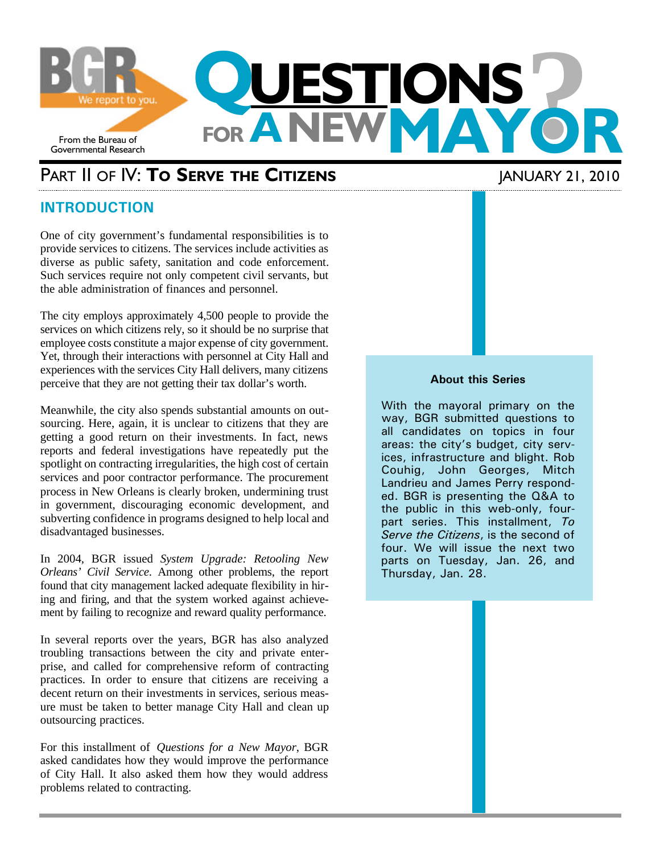

## PART II OF IV: **TO SERVE THE CITIZENS** JANUARY 21, 2010

### **INTRODUCTION**

One of city government's fundamental responsibilities is to provide services to citizens. The services include activities as diverse as public safety, sanitation and code enforcement. Such services require not only competent civil servants, but the able administration of finances and personnel.

The city employs approximately 4,500 people to provide the services on which citizens rely, so it should be no surprise that employee costs constitute a major expense of city government. Yet, through their interactions with personnel at City Hall and experiences with the services City Hall delivers, many citizens perceive that they are not getting their tax dollar's worth.

Meanwhile, the city also spends substantial amounts on outsourcing. Here, again, it is unclear to citizens that they are getting a good return on their investments. In fact, news reports and federal investigations have repeatedly put the spotlight on contracting irregularities, the high cost of certain services and poor contractor performance. The procurement process in New Orleans is clearly broken, undermining trust in government, discouraging economic development, and subverting confidence in programs designed to help local and disadvantaged businesses.

In 2004, BGR issued *System Upgrade: Retooling New Orleans' Civil Service*. Among other problems, the report found that city management lacked adequate flexibility in hiring and firing, and that the system worked against achievement by failing to recognize and reward quality performance.

In several reports over the years, BGR has also analyzed troubling transactions between the city and private enterprise, and called for comprehensive reform of contracting practices. In order to ensure that citizens are receiving a decent return on their investments in services, serious measure must be taken to better manage City Hall and clean up outsourcing practices.

For this installment of *Questions for a New Mayor*, BGR asked candidates how they would improve the performance of City Hall. It also asked them how they would address problems related to contracting.

#### **About this Series**

With the mayoral primary on the way, BGR submitted questions to all candidates on topics in four areas: the city's budget, city services, infrastructure and blight. Rob Couhig, John Georges, Mitch Landrieu and James Perry responded. BGR is presenting the Q&A to the public in this web-only, fourpart series. This installment, *To Serve the Citizens*, is the second of four. We will issue the next two parts on Tuesday, Jan. 26, and Thursday, Jan. 28.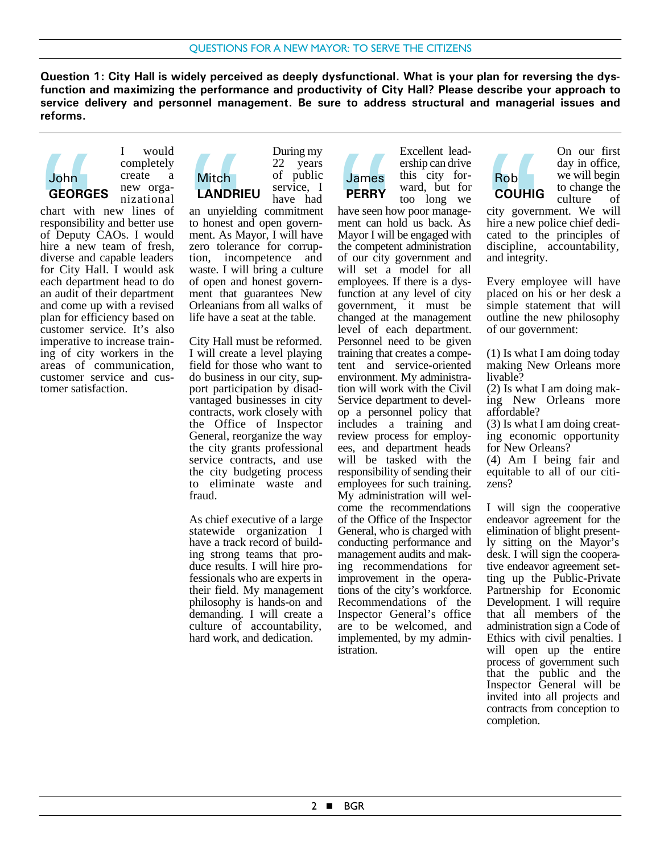**Question 1: City Hall is widely perceived as deeply dysfunctional. What is your plan for reversing the dysfunction and maximizing the performance and productivity of City Hall? Please describe your approach to service delivery and personnel management. Be sure to address structural and managerial issues and reforms.**

> During my 22 years of public





chart with new lines of responsibility and better use of Deputy CAOs. I would hire a new team of fresh, diverse and capable leaders for City Hall. I would ask each department head to do an audit of their department and come up with a revised plan for efficiency based on customer service. It's also imperative to increase training of city workers in the areas of communication, customer service and customer satisfaction. John<br>GEORG<br>chart with<br>responsibili<br>of Deputy<br>hire a new<br>diverse and<br>epart<br>each depart



service, I have had an unyielding commitment to honest and open government. As Mayor, I will have zero tolerance for corruption, incompetence and waste. I will bring a culture of open and honest government that guarantees New Orleanians from all walks of life have a seat at the table. Mitch<br> **LANDRI**<br>
an unyield<br>
to honest a<br>
ment. As M<br>
xero tolera<br>
waste. I wi<br>
of open and<br>
ment that **LANDRIEU**

City Hall must be reformed. I will create a level playing field for those who want to do business in our city, support participation by disadvantaged businesses in city contracts, work closely with the Office of Inspector General, reorganize the way the city grants professional service contracts, and use the city budgeting process to eliminate waste and fraud.

As chief executive of a large statewide organization I have a track record of building strong teams that produce results. I will hire professionals who are experts in their field. My management philosophy is hands-on and demanding. I will create a culture of accountability, hard work, and dedication.

James **PERRY** Excellent leadership can drive this city forward, but for too long we

have seen how poor management can hold us back. As Mayor I will be engaged with the competent administration of our city government and will set a model for all employees. If there is a dysfunction at any level of city government, it must be changed at the management level of each department. Personnel need to be given training that creates a competent and service-oriented environment. My administration will work with the Civil Service department to develop a personnel policy that includes a training and review process for employees, and department heads will be tasked with the responsibility of sending their employees for such training. My administration will welcome the recommendations of the Office of the Inspector General, who is charged with conducting performance and management audits and making recommendations for improvement in the operations of the city's workforce. Recommendations of the Inspector General's office are to be welcomed, and implemented, by my administration. James<br>
PERRY<br>
have seen h<br>
ment can h<br>
Mayor I will<br>
the competer<br>
will set a<br>
employees.<br>
function at

Rob **COUHIG** On our first day in office, we will begin to change the culture of

city government. We will hire a new police chief dedicated to the principles of discipline, accountability, and integrity. Rob<br>
COUHIC<br>
city govern<br>
hire a new property<br>
discipline,<br>
Every emproperty<br>
property emproperty

Every employee will have placed on his or her desk a simple statement that will outline the new philosophy of our government:

(1) Is what I am doing today making New Orleans more livable? (2) Is what I am doing making New Orleans more affordable? (3) Is what I am doing creating economic opportunity for New Orleans? (4) Am I being fair and equitable to all of our citizens? I will sign the cooperative

endeavor agreement for the elimination of blight presently sitting on the Mayor's desk. I will sign the cooperative endeavor agreement setting up the Public-Private Partnership for Economic Development. I will require that all members of the administration sign a Code of Ethics with civil penalties. I will open up the entire process of government such that the public and the Inspector General will be invited into all projects and contracts from conception to completion.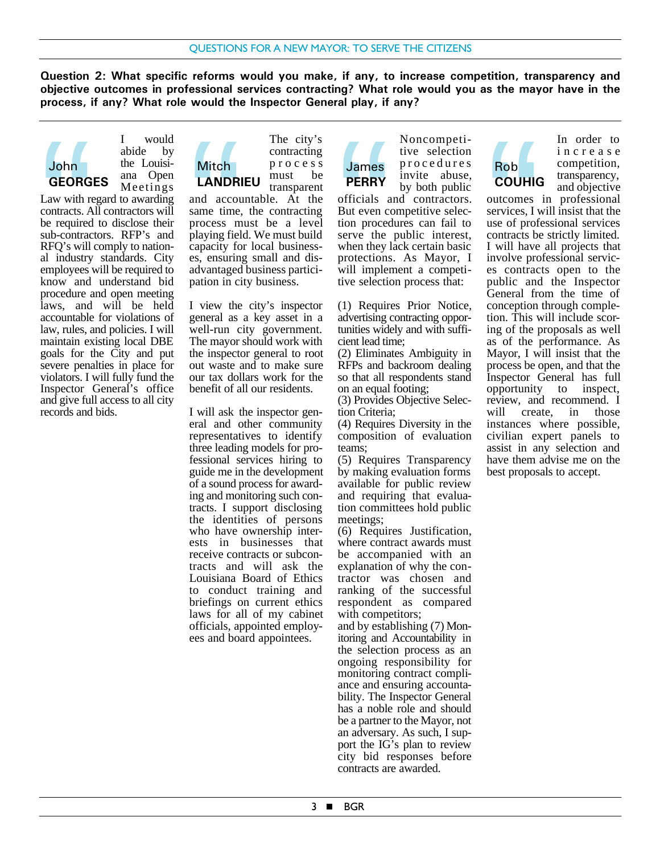**Question 2: What specific reforms would you make, if any, to increase competition, transparency and objective outcomes in professional services contracting? What role would you as the mayor have in the process, if any? What role would the Inspector General play, if any?**





Law with regard to awarding contracts. All contractors will be required to disclose their sub-contractors. RFP's and RFQ's will comply to national industry standards. City employees will be required to know and understand bid procedure and open meeting laws, and will be held accountable for violations of law, rules, and policies. I will maintain existing local DBE goals for the City and put severe penalties in place for violators. I will fully fund the Inspector General's office and give full access to all city records and bids. John<br>GEORG<br>Law with recontracts. A<br>be required<br>sub-contract RFQ's will<br>al industry<br>employees v<br>know and

# **Mitch**

The city's contracting process must be transparent **LANDRIEU**

and accountable. At the same time, the contracting process must be a level playing field. We must build capacity for local businesses, ensuring small and disadvantaged business participation in city business. Mitch<br> **LANDRI**<br>
and accous<br>
same time,<br>
process m<br>
playing fiel<br>
capacity fo<br>
advantaged<br>
nation in ci

I view the city's inspector general as a key asset in a well-run city government. The mayor should work with the inspector general to root out waste and to make sure our tax dollars work for the benefit of all our residents.

I will ask the inspector general and other community representatives to identify three leading models for professional services hiring to guide me in the development of a sound process for awarding and monitoring such contracts. I support disclosing the identities of persons who have ownership interests in businesses that receive contracts or subcontracts and will ask the Louisiana Board of Ethics to conduct training and briefings on current ethics laws for all of my cabinet officials, appointed employees and board appointees.

Noncompetitive selection procedures invite abuse, by both public **James PERRY**

officials and contractors. But even competitive selection procedures can fail to serve the public interest, when they lack certain basic protections. As Mayor, I will implement a competitive selection process that: **James**<br> **PERRY**<br>
officials a<br>
But even contion<br>
serve the<br>
when they l<br>
protections<br>
will impler<br>
tive selections

(1) Requires Prior Notice, advertising contracting opportunities widely and with sufficient lead time;

(2) Eliminates Ambiguity in RFPs and backroom dealing so that all respondents stand on an equal footing;

(3) Provides Objective Selection Criteria;

(4) Requires Diversity in the composition of evaluation teams;

(5) Requires Transparency by making evaluation forms available for public review and requiring that evaluation committees hold public meetings;

(6) Requires Justification, where contract awards must be accompanied with an explanation of why the contractor was chosen and ranking of the successful respondent as compared with competitors;

and by establishing (7) Monitoring and Accountability in the selection process as an ongoing responsibility for monitoring contract compliance and ensuring accountability. The Inspector General has a noble role and should be a partner to the Mayor, not an adversary. As such, I support the IG's plan to review city bid responses before contracts are awarded.

# Rob **COUHIG**

In order to increase competition, transparency, and objective

outcomes in professional services, I will insist that the use of professional services contracts be strictly limited. I will have all projects that involve professional services contracts open to the public and the Inspector General from the time of conception through completion. This will include scoring of the proposals as well as of the performance. As Mayor, I will insist that the process be open, and that the Inspector General has full opportunity to inspect, review, and recommend. I will create, in those instances where possible, civilian expert panels to assist in any selection and have them advise me on the best proposals to accept. Rob<br>
COUHIC<br>
outcomes<br>
services, I v<br>
use of prof<br>
I will have<br>
involve prof<br>
es contrac<br>
public and